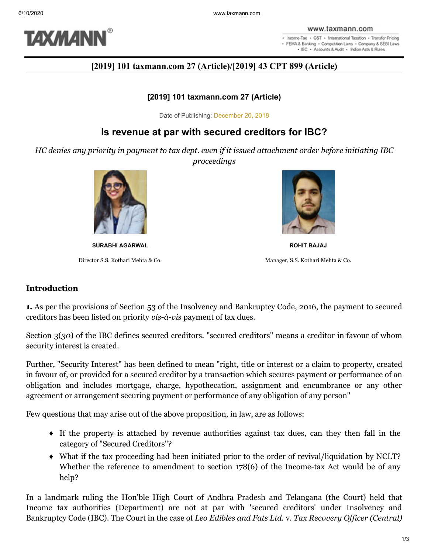

. Income-Tax . GST . International Taxation . Transfer Pricing · FEMA & Banking · Competition Laws · Company & SEBI Laws . IBC . Accounts & Audit . Indian Acts & Rules

# **[2019] 101 taxmann.com 27 (Article)/[2019] 43 CPT 899 (Article)**

#### **[2019] 101 taxmann.com 27 (Article)**

Date of Publishing: December 20, 2018

# **Is revenue at par with secured creditors for IBC?**

*HC denies any priority in payment to tax dept. even if it issued attachment order before initiating IBC proceedings*



**SURABHI AGARWAL ROHIT BAJAJ**



Director S.S. Kothari Mehta & Co. Manager, S.S. Kothari Mehta & Co.

### **Introduction**

**1.** As per the provisions of Section 53 of the Insolvency and Bankruptcy Code, 2016, the payment to secured creditors has been listed on priority *vis-à-vis* payment of tax dues.

Section 3(*30*) of the IBC defines secured creditors. "secured creditors" means a creditor in favour of whom security interest is created.

Further, "Security Interest" has been defined to mean "right, title or interest or a claim to property, created in favour of, or provided for a secured creditor by a transaction which secures payment or performance of an obligation and includes mortgage, charge, hypothecation, assignment and encumbrance or any other agreement or arrangement securing payment or performance of any obligation of any person"

Few questions that may arise out of the above proposition, in law, are as follows:

- ♦ If the property is attached by revenue authorities against tax dues, can they then fall in the category of "Secured Creditors"?
- ♦ What if the tax proceeding had been initiated prior to the order of revival/liquidation by NCLT? Whether the reference to amendment to section 178(6) of the Income-tax Act would be of any help?

In a landmark ruling the Hon'ble High Court of Andhra Pradesh and Telangana (the Court) held that Income tax authorities (Department) are not at par with 'secured creditors' under Insolvency and Bankruptcy Code (IBC). The Court in the case of *Leo Edibles and Fats Ltd.* v. *Tax Recovery Officer (Central)*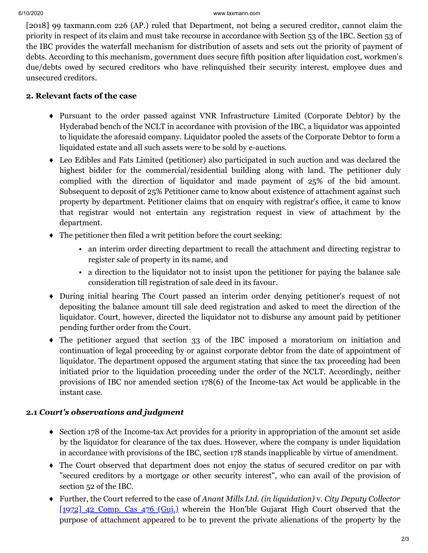[2018] 99 taxmann.com 226 (AP.) ruled that Department, not being a secured creditor, cannot claim the priority in respect of its claim and must take recourse in accordance with Section 53 of the IBC. Section 53 of the IBC provides the waterfall mechanism for distribution of assets and sets out the priority of payment of debts. According to this mechanism, government dues secure fifth position after liquidation cost, workmen's due/debts owed by secured creditors who have relinquished their security interest, employee dues and unsecured creditors.

## **2. Relevant facts of the case**

- ♦ Pursuant to the order passed against VNR Infrastructure Limited (Corporate Debtor) by the Hyderabad bench of the NCLT in accordance with provision of the IBC, a liquidator was appointed to liquidate the aforesaid company. Liquidator pooled the assets of the Corporate Debtor to form a liquidated estate and all such assets were to be sold by e-auctions.
- ♦ Leo Edibles and Fats Limited (petitioner) also participated in such auction and was declared the highest bidder for the commercial/residential building along with land. The petitioner duly complied with the direction of liquidator and made payment of 25% of the bid amount. Subsequent to deposit of 25% Petitioner came to know about existence of attachment against such property by department. Petitioner claims that on enquiry with registrar's office, it came to know that registrar would not entertain any registration request in view of attachment by the department.
- ♦ The petitioner then filed a writ petition before the court seeking:
	- an interim order directing department to recall the attachment and directing registrar to register sale of property in its name, and
	- a direction to the liquidator not to insist upon the petitioner for paying the balance sale consideration till registration of sale deed in its favour.
- ♦ During initial hearing The Court passed an interim order denying petitioner's request of not depositing the balance amount till sale deed registration and asked to meet the direction of the liquidator. Court, however, directed the liquidator not to disburse any amount paid by petitioner pending further order from the Court.
- ♦ The petitioner argued that section 33 of the IBC imposed a moratorium on initiation and continuation of legal proceeding by or against corporate debtor from the date of appointment of liquidator. The department opposed the argument stating that since the tax proceeding had been initiated prior to the liquidation proceeding under the order of the NCLT. Accordingly, neither provisions of IBC nor amended section 178(6) of the Income-tax Act would be applicable in the instant case.

## **2.1** *Court's observations and judgment*

- ♦ Section 178 of the Income-tax Act provides for a priority in appropriation of the amount set aside by the liquidator for clearance of the tax dues. However, where the company is under liquidation in accordance with provisions of the IBC, section 178 stands inapplicable by virtue of amendment.
- ♦ The Court observed that department does not enjoy the status of secured creditor on par with "secured creditors by a mortgage or other security interest", who can avail of the provision of section 52 of the IBC.
- ♦ Further, the Court referred to the case of *Anant Mills Ltd. (in liquidation)* v. *City Deputy Collector* [1972] 42 [Comp. Cas 476 \(Guj.\)](https://www.taxmann.com/fileopen.aspx?id=101010000000031081&source=link) wherein the Hon'ble Gujarat High Court observed that the purpose of attachment appeared to be to prevent the private alienations of the property by the